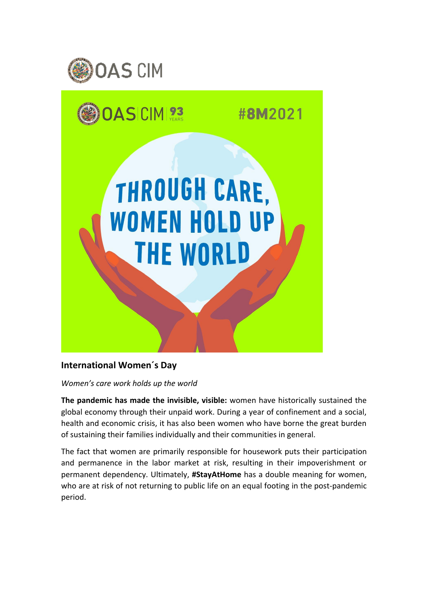



## **International Women´s Day**

*Women's care work holds up the world*

**The pandemic has made the invisible, visible:** women have historically sustained the global economy through their unpaid work. During a year of confinement and a social, health and economic crisis, it has also been women who have borne the great burden of sustaining their families individually and their communities in general.

The fact that women are primarily responsible for housework puts their participation and permanence in the labor market at risk, resulting in their impoverishment or permanent dependency. Ultimately, **#StayAtHome** has a double meaning for women, who are at risk of not returning to public life on an equal footing in the post-pandemic period.